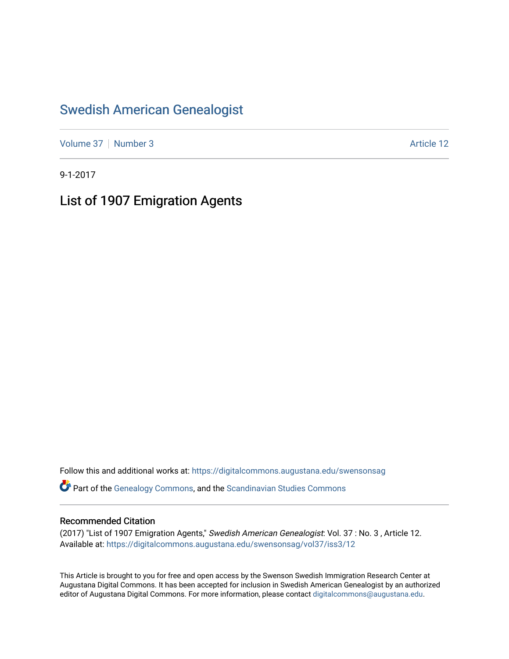### [Swedish American Genealogist](https://digitalcommons.augustana.edu/swensonsag)

[Volume 37](https://digitalcommons.augustana.edu/swensonsag/vol37) | [Number 3](https://digitalcommons.augustana.edu/swensonsag/vol37/iss3) Article 12

9-1-2017

# List of 1907 Emigration Agents

Follow this and additional works at: [https://digitalcommons.augustana.edu/swensonsag](https://digitalcommons.augustana.edu/swensonsag?utm_source=digitalcommons.augustana.edu%2Fswensonsag%2Fvol37%2Fiss3%2F12&utm_medium=PDF&utm_campaign=PDFCoverPages) 

Part of the [Genealogy Commons,](http://network.bepress.com/hgg/discipline/1342?utm_source=digitalcommons.augustana.edu%2Fswensonsag%2Fvol37%2Fiss3%2F12&utm_medium=PDF&utm_campaign=PDFCoverPages) and the [Scandinavian Studies Commons](http://network.bepress.com/hgg/discipline/485?utm_source=digitalcommons.augustana.edu%2Fswensonsag%2Fvol37%2Fiss3%2F12&utm_medium=PDF&utm_campaign=PDFCoverPages)

#### Recommended Citation

(2017) "List of 1907 Emigration Agents," Swedish American Genealogist: Vol. 37 : No. 3 , Article 12. Available at: [https://digitalcommons.augustana.edu/swensonsag/vol37/iss3/12](https://digitalcommons.augustana.edu/swensonsag/vol37/iss3/12?utm_source=digitalcommons.augustana.edu%2Fswensonsag%2Fvol37%2Fiss3%2F12&utm_medium=PDF&utm_campaign=PDFCoverPages) 

This Article is brought to you for free and open access by the Swenson Swedish Immigration Research Center at Augustana Digital Commons. It has been accepted for inclusion in Swedish American Genealogist by an authorized editor of Augustana Digital Commons. For more information, please contact [digitalcommons@augustana.edu.](mailto:digitalcommons@augustana.edu)